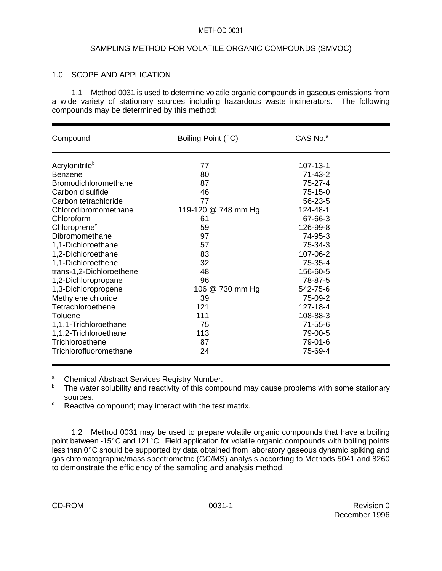#### METHOD 0031

#### SAMPLING METHOD FOR VOLATILE ORGANIC COMPOUNDS (SMVOC)

## 1.0 SCOPE AND APPLICATION

1.1 Method 0031 is used to determine volatile organic compounds in gaseous emissions from a wide variety of stationary sources including hazardous waste incinerators. The following compounds may be determined by this method:

| Compound                    | Boiling Point (°C)  | CAS No. <sup>a</sup> |  |
|-----------------------------|---------------------|----------------------|--|
| Acrylonitrile <sup>b</sup>  | 77                  | 107-13-1             |  |
| Benzene                     | 80                  | $71 - 43 - 2$        |  |
| <b>Bromodichloromethane</b> | 87                  | 75-27-4              |  |
| Carbon disulfide            | 46                  | 75-15-0              |  |
| Carbon tetrachloride        | 77                  | 56-23-5              |  |
| Chlorodibromomethane        | 119-120 @ 748 mm Hg | 124-48-1             |  |
| Chloroform                  | 61                  | 67-66-3              |  |
| Chloroprene <sup>c</sup>    | 59                  | 126-99-8             |  |
| Dibromomethane              | 97                  | 74-95-3              |  |
| 1,1-Dichloroethane          | 57                  | 75-34-3              |  |
| 1,2-Dichloroethane          | 83                  | 107-06-2             |  |
| 1,1-Dichloroethene          | 32                  | 75-35-4              |  |
| trans-1,2-Dichloroethene    | 48                  | 156-60-5             |  |
| 1,2-Dichloropropane         | 96                  | 78-87-5              |  |
| 1,3-Dichloropropene         | 106 @ 730 mm Hg     | 542-75-6             |  |
| Methylene chloride          | 39                  | 75-09-2              |  |
| Tetrachloroethene           | 121                 | 127-18-4             |  |
| Toluene                     | 111                 | 108-88-3             |  |
| 1,1,1-Trichloroethane       | 75                  | $71 - 55 - 6$        |  |
| 1,1,2-Trichloroethane       | 113                 | 79-00-5              |  |
| Trichloroethene             | 87                  | 79-01-6              |  |
| Trichlorofluoromethane      | 24                  | 75-69-4              |  |

<sup>a</sup> Chemical Abstract Services Registry Number.<br><sup>b</sup> The water solubility and reactivity of this compa

The water solubility and reactivity of this compound may cause problems with some stationary sources.

 $\degree$  Reactive compound; may interact with the test matrix.

1.2 Method 0031 may be used to prepare volatile organic compounds that have a boiling point between -15 $\degree$ C and 121 $\degree$ C. Field application for volatile organic compounds with boiling points  $\frac{1}{1}$  less than 0°C should be supported by data obtained from laboratory gaseous dynamic spiking and gas chromatographic/mass spectrometric (GC/MS) analysis according to Methods 5041 and 8260 to demonstrate the efficiency of the sampling and analysis method.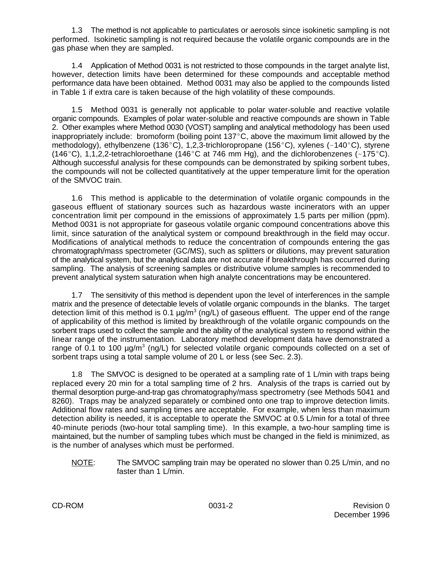1.3 The method is not applicable to particulates or aerosols since isokinetic sampling is not performed. Isokinetic sampling is not required because the volatile organic compounds are in the gas phase when they are sampled.

1.4 Application of Method 0031 is not restricted to those compounds in the target analyte list, however, detection limits have been determined for these compounds and acceptable method performance data have been obtained. Method 0031 may also be applied to the compounds listed in Table 1 if extra care is taken because of the high volatility of these compounds.

1.5 Method 0031 is generally not applicable to polar water-soluble and reactive volatile organic compounds. Examples of polar water-soluble and reactive compounds are shown in Table 2. Other examples where Method 0030 (VOST) sampling and analytical methodology has been used inappropriately include: bromoform (boiling point  $137^{\circ}$ C, above the maximum limit allowed by the methodology), ethylbenzene (136°C), 1,2,3-trichloropropane (156°C), xylenes (~140°C), styrene (146°C), 1,1,2,2-tetrachloroethane (146°C at 746 mm Hg), and the dichlorobenzenes (~175°C). Although successful analysis for these compounds can be demonstrated by spiking sorbent tubes, the compounds will not be collected quantitatively at the upper temperature limit for the operation of the SMVOC train.

1.6 This method is applicable to the determination of volatile organic compounds in the gaseous effluent of stationary sources such as hazardous waste incinerators with an upper concentration limit per compound in the emissions of approximately 1.5 parts per million (ppm). Method 0031 is not appropriate for gaseous volatile organic compound concentrations above this limit, since saturation of the analytical system or compound breakthrough in the field may occur. Modifications of analytical methods to reduce the concentration of compounds entering the gas chromatograph/mass spectrometer (GC/MS), such as splitters or dilutions, may prevent saturation of the analytical system, but the analytical data are not accurate if breakthrough has occurred during sampling. The analysis of screening samples or distributive volume samples is recommended to prevent analytical system saturation when high analyte concentrations may be encountered.

1.7 The sensitivity of this method is dependent upon the level of interferences in the sample matrix and the presence of detectable levels of volatile organic compounds in the blanks. The target detection limit of this method is 0.1  $\mu$ g/m<sup>3</sup> (ng/L) of gaseous effluent. The upper end of the range of applicability of this method is limited by breakthrough of the volatile organic compounds on the sorbent traps used to collect the sample and the ability of the analytical system to respond within the linear range of the instrumentation. Laboratory method development data have demonstrated a range of 0.1 to 100  $\mu$ g/m<sup>3</sup> (ng/L) for selected volatile organic compounds collected on a set of sorbent traps using a total sample volume of 20 L or less (see Sec. 2.3).

1.8 The SMVOC is designed to be operated at a sampling rate of 1 L/min with traps being replaced every 20 min for a total sampling time of 2 hrs. Analysis of the traps is carried out by thermal desorption purge-and-trap gas chromatography/mass spectrometry (see Methods 5041 and 8260). Traps may be analyzed separately or combined onto one trap to improve detection limits. Additional flow rates and sampling times are acceptable. For example, when less than maximum detection ability is needed, it is acceptable to operate the SMVOC at 0.5 L/min for a total of three 40-minute periods (two-hour total sampling time). In this example, a two-hour sampling time is maintained, but the number of sampling tubes which must be changed in the field is minimized, as is the number of analyses which must be performed.

NOTE: The SMVOC sampling train may be operated no slower than 0.25 L/min, and no faster than 1 L/min.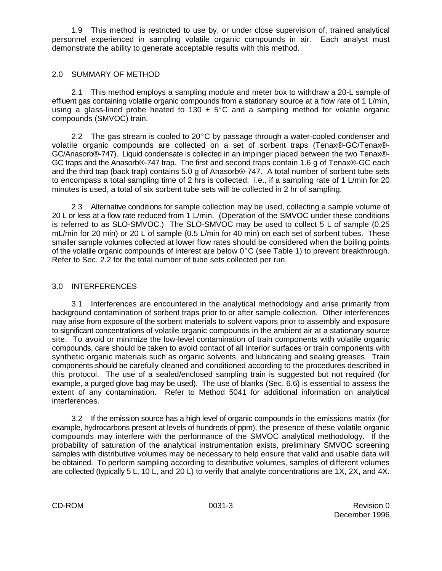1.9 This method is restricted to use by, or under close supervision of, trained analytical personnel experienced in sampling volatile organic compounds in air. Each analyst must demonstrate the ability to generate acceptable results with this method.

## 2.0 SUMMARY OF METHOD

2.1 This method employs a sampling module and meter box to withdraw a 20-L sample of effluent gas containing volatile organic compounds from a stationary source at a flow rate of 1 L/min, using a glass-lined probe heated to 130  $\pm$  5°C and a sampling method for volatile organic compounds (SMVOC) train.

2.2 The gas stream is cooled to 20 $\degree$ C by passage through a water-cooled condenser and volatile organic compounds are collected on a set of sorbent traps (Tenax®-GC/Tenax®- GC/Anasorb®-747). Liquid condensate is collected in an impinger placed between the two Tenax®- GC traps and the Anasorb®-747 trap. The first and second traps contain 1.6 g of Tenax®-GC each and the third trap (back trap) contains 5.0 g of Anasorb®-747. A total number of sorbent tube sets to encompass a total sampling time of 2 hrs is collected: i.e., if a sampling rate of 1 L/min for 20 minutes is used, a total of six sorbent tube sets will be collected in 2 hr of sampling.

2.3 Alternative conditions for sample collection may be used, collecting a sample volume of 20 L or less at a flow rate reduced from 1 L/min. (Operation of the SMVOC under these conditions is referred to as SLO-SMVOC.) The SLO-SMVOC may be used to collect 5 L of sample (0.25 mL/min for 20 min) or 20 L of sample (0.5 L/min for 40 min) on each set of sorbent tubes. These smaller sample volumes collected at lower flow rates should be considered when the boiling points of the volatile organic compounds of interest are below  $0^{\circ}$ C (see Table 1) to prevent breakthrough. Refer to Sec. 2.2 for the total number of tube sets collected per run.

## 3.0 INTERFERENCES

3.1 Interferences are encountered in the analytical methodology and arise primarily from background contamination of sorbent traps prior to or after sample collection. Other interferences may arise from exposure of the sorbent materials to solvent vapors prior to assembly and exposure to significant concentrations of volatile organic compounds in the ambient air at a stationary source site. To avoid or minimize the low-level contamination of train components with volatile organic compounds, care should be taken to avoid contact of all interior surfaces or train components with synthetic organic materials such as organic solvents, and lubricating and sealing greases. Train components should be carefully cleaned and conditioned according to the procedures described in this protocol. The use of a sealed/enclosed sampling train is suggested but not required (for example, a purged glove bag may be used). The use of blanks (Sec. 6.6) is essential to assess the extent of any contamination. Refer to Method 5041 for additional information on analytical interferences.

3.2 If the emission source has a high level of organic compounds in the emissions matrix (for example, hydrocarbons present at levels of hundreds of ppm), the presence of these volatile organic compounds may interfere with the performance of the SMVOC analytical methodology. If the probability of saturation of the analytical instrumentation exists, preliminary SMVOC screening samples with distributive volumes may be necessary to help ensure that valid and usable data will be obtained. To perform sampling according to distributive volumes, samples of different volumes are collected (typically 5 L, 10 L, and 20 L) to verify that analyte concentrations are 1X, 2X, and 4X.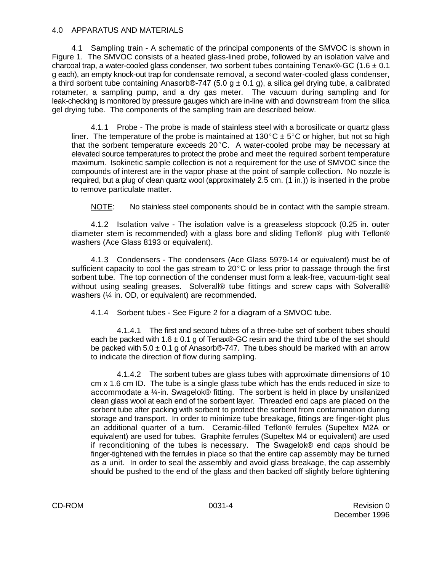#### 4.0 APPARATUS AND MATERIALS

4.1 Sampling train - A schematic of the principal components of the SMVOC is shown in Figure 1. The SMVOC consists of a heated glass-lined probe, followed by an isolation valve and charcoal trap, a water-cooled glass condenser, two sorbent tubes containing Tenax®-GC (1.6  $\pm$  0.1 g each), an empty knock-out trap for condensate removal, a second water-cooled glass condenser, a third sorbent tube containing Anasorb®-747 (5.0 g  $\pm$  0.1 g), a silica gel drying tube, a calibrated rotameter, a sampling pump, and a dry gas meter. The vacuum during sampling and for leak-checking is monitored by pressure gauges which are in-line with and downstream from the silica gel drying tube. The components of the sampling train are described below.

4.1.1 Probe - The probe is made of stainless steel with a borosilicate or quartz glass liner. The temperature of the probe is maintained at 130°C  $\pm$  5°C or higher, but not so high that the sorbent temperature exceeds  $20^{\circ}$ C. A water-cooled probe may be necessary at elevated source temperatures to protect the probe and meet the required sorbent temperature maximum. Isokinetic sample collection is not a requirement for the use of SMVOC since the compounds of interest are in the vapor phase at the point of sample collection. No nozzle is required, but a plug of clean quartz wool (approximately 2.5 cm. (1 in.)) is inserted in the probe to remove particulate matter.

NOTE: No stainless steel components should be in contact with the sample stream.

4.1.2 Isolation valve - The isolation valve is a greaseless stopcock (0.25 in. outer diameter stem is recommended) with a glass bore and sliding Teflon® plug with Teflon® washers (Ace Glass 8193 or equivalent).

4.1.3 Condensers - The condensers (Ace Glass 5979-14 or equivalent) must be of sufficient capacity to cool the gas stream to  $20^{\circ}$ C or less prior to passage through the first sorbent tube. The top connection of the condenser must form a leak-free, vacuum-tight seal without using sealing greases. Solverall® tube fittings and screw caps with Solverall® washers (¼ in. OD, or equivalent) are recommended.

4.1.4 Sorbent tubes - See Figure 2 for a diagram of a SMVOC tube.

4.1.4.1 The first and second tubes of a three-tube set of sorbent tubes should each be packed with  $1.6 \pm 0.1$  g of Tenax®-GC resin and the third tube of the set should be packed with  $5.0 \pm 0.1$  g of Anasorb®-747. The tubes should be marked with an arrow to indicate the direction of flow during sampling.

4.1.4.2 The sorbent tubes are glass tubes with approximate dimensions of 10 cm x 1.6 cm ID. The tube is a single glass tube which has the ends reduced in size to accommodate a ¼-in. Swagelok® fitting. The sorbent is held in place by unsilanized clean glass wool at each end of the sorbent layer. Threaded end caps are placed on the sorbent tube after packing with sorbent to protect the sorbent from contamination during storage and transport. In order to minimize tube breakage, fittings are finger-tight plus an additional quarter of a turn. Ceramic-filled Teflon® ferrules (Supeltex M2A or equivalent) are used for tubes. Graphite ferrules (Supeltex M4 or equivalent) are used if reconditioning of the tubes is necessary. The Swagelok® end caps should be finger-tightened with the ferrules in place so that the entire cap assembly may be turned as a unit. In order to seal the assembly and avoid glass breakage, the cap assembly should be pushed to the end of the glass and then backed off slightly before tightening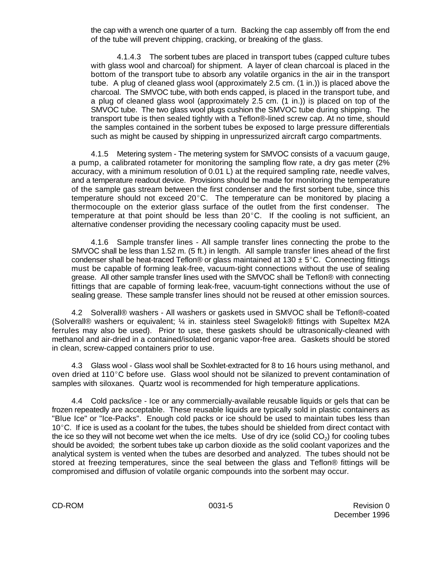the cap with a wrench one quarter of a turn. Backing the cap assembly off from the end of the tube will prevent chipping, cracking, or breaking of the glass.

4.1.4.3 The sorbent tubes are placed in transport tubes (capped culture tubes with glass wool and charcoal) for shipment. A layer of clean charcoal is placed in the bottom of the transport tube to absorb any volatile organics in the air in the transport tube. A plug of cleaned glass wool (approximately 2.5 cm. (1 in.)) is placed above the charcoal. The SMVOC tube, with both ends capped, is placed in the transport tube, and a plug of cleaned glass wool (approximately 2.5 cm. (1 in.)) is placed on top of the SMVOC tube. The two glass wool plugs cushion the SMVOC tube during shipping. The transport tube is then sealed tightly with a Teflon®-lined screw cap. At no time, should the samples contained in the sorbent tubes be exposed to large pressure differentials such as might be caused by shipping in unpressurized aircraft cargo compartments.

4.1.5 Metering system - The metering system for SMVOC consists of a vacuum gauge, a pump, a calibrated rotameter for monitoring the sampling flow rate, a dry gas meter (2% accuracy, with a minimum resolution of 0.01 L) at the required sampling rate, needle valves, and a temperature readout device. Provisions should be made for monitoring the temperature of the sample gas stream between the first condenser and the first sorbent tube, since this temperature should not exceed  $20^{\circ}$ C. The temperature can be monitored by placing a thermocouple on the exterior glass surface of the outlet from the first condenser. The temperature at that point should be less than  $20^{\circ}$ C. If the cooling is not sufficient, an alternative condenser providing the necessary cooling capacity must be used.

4.1.6 Sample transfer lines - All sample transfer lines connecting the probe to the SMVOC shall be less than 1.52 m. (5 ft.) in length. All sample transfer lines ahead of the first condenser shall be heat-traced Teflon® or glass maintained at 130  $\pm$  5°C. Connecting fittings must be capable of forming leak-free, vacuum-tight connections without the use of sealing grease. All other sample transfer lines used with the SMVOC shall be Teflon® with connecting fittings that are capable of forming leak-free, vacuum-tight connections without the use of sealing grease. These sample transfer lines should not be reused at other emission sources.

4.2 Solverall® washers - All washers or gaskets used in SMVOC shall be Teflon®-coated (Solverall® washers or equivalent; ¼ in. stainless steel Swagelok® fittings with Supeltex M2A ferrules may also be used). Prior to use, these gaskets should be ultrasonically-cleaned with methanol and air-dried in a contained/isolated organic vapor-free area. Gaskets should be stored in clean, screw-capped containers prior to use.

4.3 Glass wool - Glass wool shall be Soxhlet-extracted for 8 to 16 hours using methanol, and oven dried at 110 $^{\circ}$ C before use. Glass wool should not be silanized to prevent contamination of samples with siloxanes. Quartz wool is recommended for high temperature applications.

4.4 Cold packs/ice - Ice or any commercially-available reusable liquids or gels that can be frozen repeatedly are acceptable. These reusable liquids are typically sold in plastic containers as "Blue Ice" or "Ice-Packs". Enough cold packs or ice should be used to maintain tubes less than  $10^{\circ}$ C. If ice is used as a coolant for the tubes, the tubes should be shielded from direct contact with the ice so they will not become wet when the ice melts. Use of dry ice (solid CO<sub>2</sub>) for cooling tubes should be avoided; the sorbent tubes take up carbon dioxide as the solid coolant vaporizes and the analytical system is vented when the tubes are desorbed and analyzed. The tubes should not be stored at freezing temperatures, since the seal between the glass and Teflon® fittings will be compromised and diffusion of volatile organic compounds into the sorbent may occur.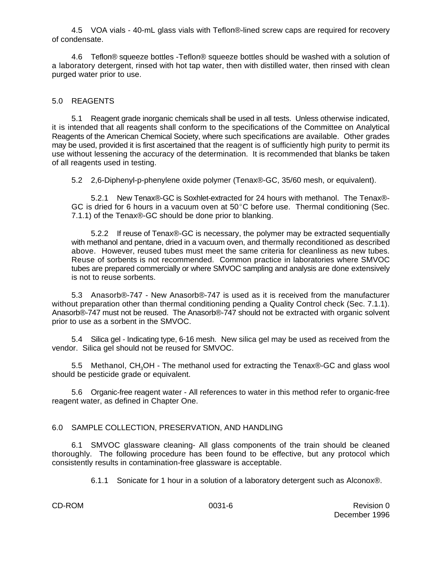4.5 VOA vials - 40-mL glass vials with Teflon®-lined screw caps are required for recovery of condensate.

4.6 Teflon® squeeze bottles -Teflon® squeeze bottles should be washed with a solution of a laboratory detergent, rinsed with hot tap water, then with distilled water, then rinsed with clean purged water prior to use.

## 5.0 REAGENTS

5.1 Reagent grade inorganic chemicals shall be used in all tests. Unless otherwise indicated, it is intended that all reagents shall conform to the specifications of the Committee on Analytical Reagents of the American Chemical Society, where such specifications are available. Other grades may be used, provided it is first ascertained that the reagent is of sufficiently high purity to permit its use without lessening the accuracy of the determination. It is recommended that blanks be taken of all reagents used in testing.

5.2 2,6-Diphenyl-p-phenylene oxide polymer (Tenax®-GC, 35/60 mesh, or equivalent).

5.2.1 New Tenax®-GC is Soxhlet-extracted for 24 hours with methanol. The Tenax®- GC is dried for 6 hours in a vacuum oven at  $50^{\circ}$ C before use. Thermal conditioning (Sec. 7.1.1) of the Tenax®-GC should be done prior to blanking.

5.2.2 If reuse of Tenax®-GC is necessary, the polymer may be extracted sequentially with methanol and pentane, dried in a vacuum oven, and thermally reconditioned as described above. However, reused tubes must meet the same criteria for cleanliness as new tubes. Reuse of sorbents is not recommended. Common practice in laboratories where SMVOC tubes are prepared commercially or where SMVOC sampling and analysis are done extensively is not to reuse sorbents.

5.3 Anasorb®-747 - New Anasorb®-747 is used as it is received from the manufacturer without preparation other than thermal conditioning pending a Quality Control check (Sec. 7.1.1). Anasorb®-747 must not be reused. The Anasorb®-747 should not be extracted with organic solvent prior to use as a sorbent in the SMVOC.

5.4 Silica gel - Indicating type, 6-16 mesh. New silica gel may be used as received from the vendor. Silica gel should not be reused for SMVOC.

5.5 Methanol, CH<sub>3</sub>OH - The methanol used for extracting the Tenax®-GC and glass wool should be pesticide grade or equivalent.

5.6 Organic-free reagent water - All references to water in this method refer to organic-free reagent water, as defined in Chapter One.

#### 6.0 SAMPLE COLLECTION, PRESERVATION, AND HANDLING

6.1 SMVOC glassware cleaning- All glass components of the train should be cleaned thoroughly. The following procedure has been found to be effective, but any protocol which consistently results in contamination-free glassware is acceptable.

6.1.1 Sonicate for 1 hour in a solution of a laboratory detergent such as Alconox®.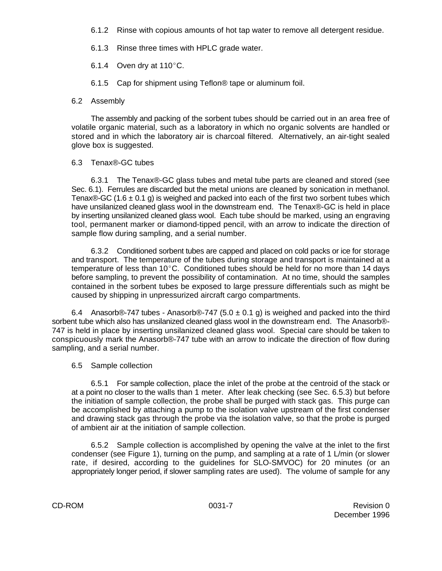- 6.1.2 Rinse with copious amounts of hot tap water to remove all detergent residue.
- 6.1.3 Rinse three times with HPLC grade water.
- 6.1.4 Oven dry at  $110^{\circ}$ C.
- 6.1.5 Cap for shipment using Teflon® tape or aluminum foil.

#### 6.2 Assembly

The assembly and packing of the sorbent tubes should be carried out in an area free of volatile organic material, such as a laboratory in which no organic solvents are handled or stored and in which the laboratory air is charcoal filtered. Alternatively, an air-tight sealed glove box is suggested.

#### 6.3 Tenax®-GC tubes

6.3.1 The Tenax®-GC glass tubes and metal tube parts are cleaned and stored (see Sec. 6.1). Ferrules are discarded but the metal unions are cleaned by sonication in methanol. Tenax®-GC (1.6  $\pm$  0.1 g) is weighed and packed into each of the first two sorbent tubes which have unsilanized cleaned glass wool in the downstream end. The Tenax®-GC is held in place by inserting unsilanized cleaned glass wool. Each tube should be marked, using an engraving tool, permanent marker or diamond-tipped pencil, with an arrow to indicate the direction of sample flow during sampling, and a serial number.

6.3.2 Conditioned sorbent tubes are capped and placed on cold packs or ice for storage and transport. The temperature of the tubes during storage and transport is maintained at a temperature of less than  $10^{\circ}$ C. Conditioned tubes should be held for no more than 14 days before sampling, to prevent the possibility of contamination. At no time, should the samples contained in the sorbent tubes be exposed to large pressure differentials such as might be caused by shipping in unpressurized aircraft cargo compartments.

6.4 Anasorb®-747 tubes - Anasorb®-747 (5.0  $\pm$  0.1 g) is weighed and packed into the third sorbent tube which also has unsilanized cleaned glass wool in the downstream end. The Anasorb®- 747 is held in place by inserting unsilanized cleaned glass wool. Special care should be taken to conspicuously mark the Anasorb®-747 tube with an arrow to indicate the direction of flow during sampling, and a serial number.

## 6.5 Sample collection

6.5.1 For sample collection, place the inlet of the probe at the centroid of the stack or at a point no closer to the walls than 1 meter. After leak checking (see Sec. 6.5.3) but before the initiation of sample collection, the probe shall be purged with stack gas. This purge can be accomplished by attaching a pump to the isolation valve upstream of the first condenser and drawing stack gas through the probe via the isolation valve, so that the probe is purged of ambient air at the initiation of sample collection.

6.5.2 Sample collection is accomplished by opening the valve at the inlet to the first condenser (see Figure 1), turning on the pump, and sampling at a rate of 1 L/min (or slower rate, if desired, according to the guidelines for SLO-SMVOC) for 20 minutes (or an appropriately longer period, if slower sampling rates are used). The volume of sample for any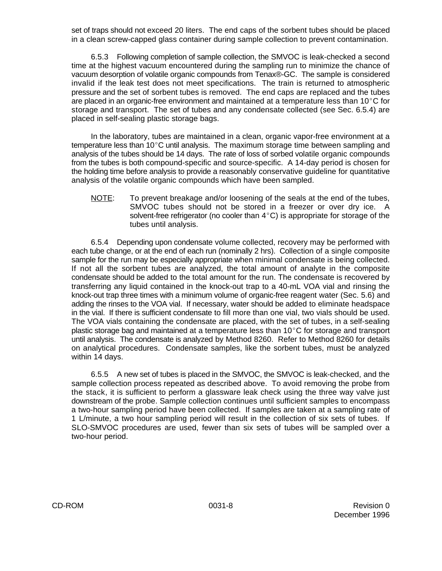set of traps should not exceed 20 liters. The end caps of the sorbent tubes should be placed in a clean screw-capped glass container during sample collection to prevent contamination.

6.5.3 Following completion of sample collection, the SMVOC is leak-checked a second time at the highest vacuum encountered during the sampling run to minimize the chance of vacuum desorption of volatile organic compounds from Tenax®-GC. The sample is considered invalid if the leak test does not meet specifications. The train is returned to atmospheric pressure and the set of sorbent tubes is removed. The end caps are replaced and the tubes are placed in an organic-free environment and maintained at a temperature less than  $10^{\circ}$ C for storage and transport. The set of tubes and any condensate collected (see Sec. 6.5.4) are placed in self-sealing plastic storage bags.

In the laboratory, tubes are maintained in a clean, organic vapor-free environment at a temperature less than  $10^{\circ}$ C until analysis. The maximum storage time between sampling and analysis of the tubes should be 14 days. The rate of loss of sorbed volatile organic compounds from the tubes is both compound-specific and source-specific. A 14-day period is chosen for the holding time before analysis to provide a reasonably conservative guideline for quantitative analysis of the volatile organic compounds which have been sampled.

NOTE: To prevent breakage and/or loosening of the seals at the end of the tubes, SMVOC tubes should not be stored in a freezer or over dry ice. A solvent-free refrigerator (no cooler than  $4^{\circ}$ C) is appropriate for storage of the tubes until analysis.

6.5.4 Depending upon condensate volume collected, recovery may be performed with each tube change, or at the end of each run (nominally 2 hrs). Collection of a single composite sample for the run may be especially appropriate when minimal condensate is being collected. If not all the sorbent tubes are analyzed, the total amount of analyte in the composite condensate should be added to the total amount for the run. The condensate is recovered by transferring any liquid contained in the knock-out trap to a 40-mL VOA vial and rinsing the knock-out trap three times with a minimum volume of organic-free reagent water (Sec. 5.6) and adding the rinses to the VOA vial. If necessary, water should be added to eliminate headspace in the vial. If there is sufficient condensate to fill more than one vial, two vials should be used. The VOA vials containing the condensate are placed, with the set of tubes, in a self-sealing plastic storage bag and maintained at a temperature less than  $10^{\circ}$ C for storage and transport until analysis. The condensate is analyzed by Method 8260. Refer to Method 8260 for details on analytical procedures. Condensate samples, like the sorbent tubes, must be analyzed within 14 days.

6.5.5 A new set of tubes is placed in the SMVOC, the SMVOC is leak-checked, and the sample collection process repeated as described above. To avoid removing the probe from the stack, it is sufficient to perform a glassware leak check using the three way valve just downstream of the probe. Sample collection continues until sufficient samples to encompass a two-hour sampling period have been collected. If samples are taken at a sampling rate of 1 L/minute, a two hour sampling period will result in the collection of six sets of tubes. If SLO-SMVOC procedures are used, fewer than six sets of tubes will be sampled over a two-hour period.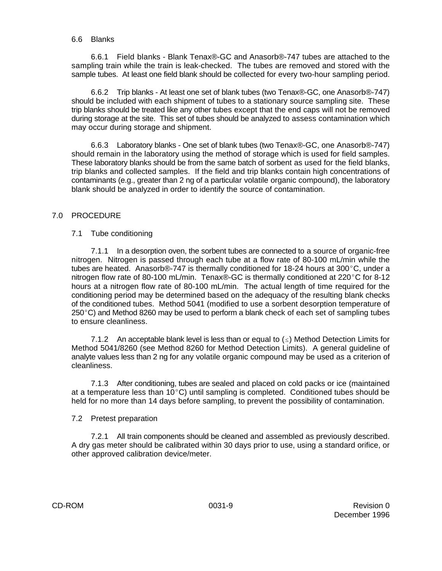#### 6.6 Blanks

6.6.1 Field blanks - Blank Tenax®-GC and Anasorb®-747 tubes are attached to the sampling train while the train is leak-checked. The tubes are removed and stored with the sample tubes. At least one field blank should be collected for every two-hour sampling period.

6.6.2 Trip blanks - At least one set of blank tubes (two Tenax®-GC, one Anasorb®-747) should be included with each shipment of tubes to a stationary source sampling site. These trip blanks should be treated like any other tubes except that the end caps will not be removed during storage at the site. This set of tubes should be analyzed to assess contamination which may occur during storage and shipment.

6.6.3 Laboratory blanks - One set of blank tubes (two Tenax®-GC, one Anasorb®-747) should remain in the laboratory using the method of storage which is used for field samples. These laboratory blanks should be from the same batch of sorbent as used for the field blanks, trip blanks and collected samples. If the field and trip blanks contain high concentrations of contaminants (e.g., greater than 2 ng of a particular volatile organic compound), the laboratory blank should be analyzed in order to identify the source of contamination.

## 7.0 PROCEDURE

## 7.1 Tube conditioning

7.1.1 In a desorption oven, the sorbent tubes are connected to a source of organic-free nitrogen. Nitrogen is passed through each tube at a flow rate of 80-100 mL/min while the tubes are heated. Anasorb®-747 is thermally conditioned for 18-24 hours at 300 $^{\circ}$ C, under a nitrogen flow rate of 80-100 mL/min. Tenax®-GC is thermally conditioned at 220°C for 8-12 hours at a nitrogen flow rate of 80-100 mL/min. The actual length of time required for the conditioning period may be determined based on the adequacy of the resulting blank checks of the conditioned tubes. Method 5041 (modified to use a sorbent desorption temperature of  $250^{\circ}$ C) and Method 8260 may be used to perform a blank check of each set of sampling tubes to ensure cleanliness.

7.1.2 An acceptable blank level is less than or equal to  $(\le)$  Method Detection Limits for Method 5041/8260 (see Method 8260 for Method Detection Limits). A general guideline of analyte values less than 2 ng for any volatile organic compound may be used as a criterion of cleanliness.

7.1.3 After conditioning, tubes are sealed and placed on cold packs or ice (maintained at a temperature less than  $10^{\circ}$ C) until sampling is completed. Conditioned tubes should be held for no more than 14 days before sampling, to prevent the possibility of contamination.

#### 7.2 Pretest preparation

7.2.1 All train components should be cleaned and assembled as previously described. A dry gas meter should be calibrated within 30 days prior to use, using a standard orifice, or other approved calibration device/meter.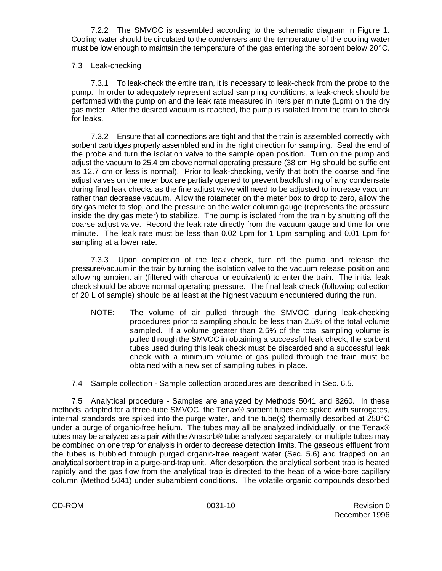7.2.2 The SMVOC is assembled according to the schematic diagram in Figure 1. Cooling water should be circulated to the condensers and the temperature of the cooling water must be low enough to maintain the temperature of the gas entering the sorbent below  $20^{\circ}$ C.

## 7.3 Leak-checking

7.3.1 To leak-check the entire train, it is necessary to leak-check from the probe to the pump. In order to adequately represent actual sampling conditions, a leak-check should be performed with the pump on and the leak rate measured in liters per minute (Lpm) on the dry gas meter. After the desired vacuum is reached, the pump is isolated from the train to check for leaks.

7.3.2 Ensure that all connections are tight and that the train is assembled correctly with sorbent cartridges properly assembled and in the right direction for sampling. Seal the end of the probe and turn the isolation valve to the sample open position. Turn on the pump and adjust the vacuum to 25.4 cm above normal operating pressure (38 cm Hg should be sufficient as 12.7 cm or less is normal). Prior to leak-checking, verify that both the coarse and fine adjust valves on the meter box are partially opened to prevent backflushing of any condensate during final leak checks as the fine adjust valve will need to be adjusted to increase vacuum rather than decrease vacuum. Allow the rotameter on the meter box to drop to zero, allow the dry gas meter to stop, and the pressure on the water column gauge (represents the pressure inside the dry gas meter) to stabilize. The pump is isolated from the train by shutting off the coarse adjust valve. Record the leak rate directly from the vacuum gauge and time for one minute. The leak rate must be less than 0.02 Lpm for 1 Lpm sampling and 0.01 Lpm for sampling at a lower rate.

7.3.3 Upon completion of the leak check, turn off the pump and release the pressure/vacuum in the train by turning the isolation valve to the vacuum release position and allowing ambient air (filtered with charcoal or equivalent) to enter the train. The initial leak check should be above normal operating pressure. The final leak check (following collection of 20 L of sample) should be at least at the highest vacuum encountered during the run.

- NOTE: The volume of air pulled through the SMVOC during leak-checking procedures prior to sampling should be less than 2.5% of the total volume sampled. If a volume greater than 2.5% of the total sampling volume is pulled through the SMVOC in obtaining a successful leak check, the sorbent tubes used during this leak check must be discarded and a successful leak check with a minimum volume of gas pulled through the train must be obtained with a new set of sampling tubes in place.
- 7.4 Sample collection Sample collection procedures are described in Sec. 6.5.

7.5 Analytical procedure - Samples are analyzed by Methods 5041 and 8260. In these methods, adapted for a three-tube SMVOC, the Tenax® sorbent tubes are spiked with surrogates, internal standards are spiked into the purge water, and the tube(s) thermally desorbed at  $250^{\circ}$ C under a purge of organic-free helium. The tubes may all be analyzed individually, or the Tenax® tubes may be analyzed as a pair with the Anasorb® tube analyzed separately, or multiple tubes may be combined on one trap for analysis in order to decrease detection limits. The gaseous effluent from the tubes is bubbled through purged organic-free reagent water (Sec. 5.6) and trapped on an analytical sorbent trap in a purge-and-trap unit. After desorption, the analytical sorbent trap is heated rapidly and the gas flow from the analytical trap is directed to the head of a wide-bore capillary column (Method 5041) under subambient conditions. The volatile organic compounds desorbed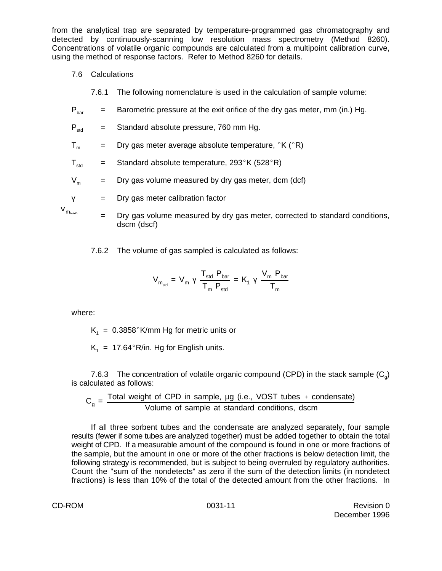from the analytical trap are separated by temperature-programmed gas chromatography and detected by continuously-scanning low resolution mass spectrometry (Method 8260). Concentrations of volatile organic compounds are calculated from a multipoint calibration curve, using the method of response factors. Refer to Method 8260 for details.

7.6 Calculations

7.6.1 The following nomenclature is used in the calculation of sample volume:

- $P_{\text{bar}}$  = Barometric pressure at the exit orifice of the dry gas meter, mm (in.) Hg.
- $P_{std}$  = Standard absolute pressure, 760 mm Hg.

 $T_m$  = Dry gas meter average absolute temperature,  ${}^{\circ}$ K ( ${}^{\circ}$ R)

 $T_{\text{std}}$  = Standard absolute temperature, 293°K (528°R)

 $V_m$  = Dry gas volume measured by dry gas meter, dcm (dcf)

$$
y = \text{Dry gas meter calibration factor}
$$

 $V_{m_{\text{total}}}$ 

= Dry gas volume measured by dry gas meter, corrected to standard conditions, dscm (dscf)

7.6.2 The volume of gas sampled is calculated as follows:

$$
V_{m_{std}} = V_m \gamma \frac{T_{std} P_{bar}}{T_m P_{std}} = K_1 \gamma \frac{V_m P_{bar}}{T_m}
$$

where:

 $K_1 = 0.3858$ °K/mm Hg for metric units or

 $K_1 = 17.64^{\circ}R/in.$  Hg for English units.

7.6.3 The concentration of volatile organic compound (CPD) in the stack sample  $(C_0)$ is calculated as follows:

$$
C_g = \frac{\text{Total weight of CPD in sample, µg (i.e., VOST tubes + condensate)}}{\text{Volume of sample at standard conditions, dscm}}
$$

If all three sorbent tubes and the condensate are analyzed separately, four sample results (fewer if some tubes are analyzed together) must be added together to obtain the total weight of CPD. If a measurable amount of the compound is found in one or more fractions of the sample, but the amount in one or more of the other fractions is below detection limit, the following strategy is recommended, but is subject to being overruled by regulatory authorities. Count the "sum of the nondetects" as zero if the sum of the detection limits (in nondetect fractions) is less than 10% of the total of the detected amount from the other fractions. In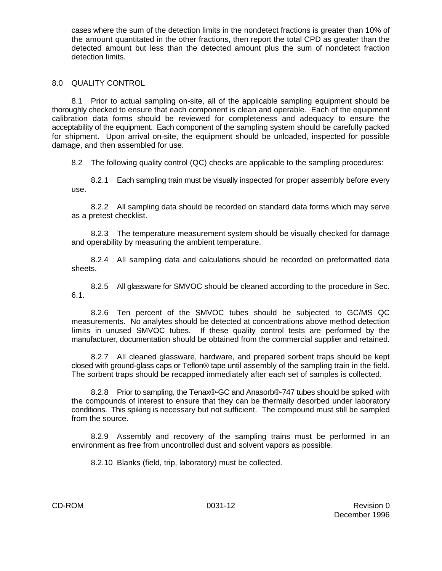cases where the sum of the detection limits in the nondetect fractions is greater than 10% of the amount quantitated in the other fractions, then report the total CPD as greater than the detected amount but less than the detected amount plus the sum of nondetect fraction detection limits.

#### 8.0 QUALITY CONTROL

8.1 Prior to actual sampling on-site, all of the applicable sampling equipment should be thoroughly checked to ensure that each component is clean and operable. Each of the equipment calibration data forms should be reviewed for completeness and adequacy to ensure the acceptability of the equipment. Each component of the sampling system should be carefully packed for shipment. Upon arrival on-site, the equipment should be unloaded, inspected for possible damage, and then assembled for use.

8.2 The following quality control (QC) checks are applicable to the sampling procedures:

8.2.1 Each sampling train must be visually inspected for proper assembly before every use.

8.2.2 All sampling data should be recorded on standard data forms which may serve as a pretest checklist.

8.2.3 The temperature measurement system should be visually checked for damage and operability by measuring the ambient temperature.

8.2.4 All sampling data and calculations should be recorded on preformatted data sheets.

8.2.5 All glassware for SMVOC should be cleaned according to the procedure in Sec. 6.1.

8.2.6 Ten percent of the SMVOC tubes should be subjected to GC/MS QC measurements. No analytes should be detected at concentrations above method detection limits in unused SMVOC tubes. If these quality control tests are performed by the manufacturer, documentation should be obtained from the commercial supplier and retained.

8.2.7 All cleaned glassware, hardware, and prepared sorbent traps should be kept closed with ground-glass caps or Teflon® tape until assembly of the sampling train in the field. The sorbent traps should be recapped immediately after each set of samples is collected.

8.2.8 Prior to sampling, the Tenax®-GC and Anasorb®-747 tubes should be spiked with the compounds of interest to ensure that they can be thermally desorbed under laboratory conditions. This spiking is necessary but not sufficient. The compound must still be sampled from the source.

8.2.9 Assembly and recovery of the sampling trains must be performed in an environment as free from uncontrolled dust and solvent vapors as possible.

8.2.10 Blanks (field, trip, laboratory) must be collected.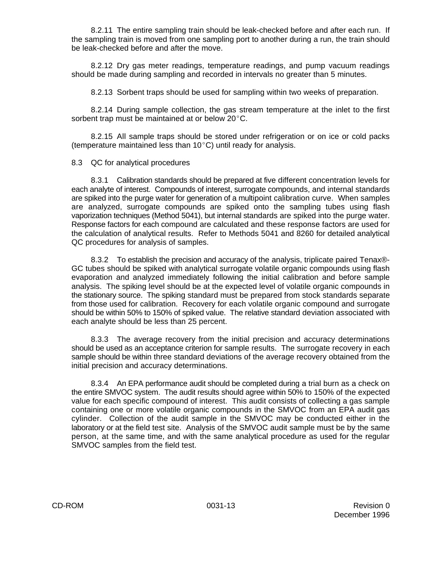8.2.11 The entire sampling train should be leak-checked before and after each run. If the sampling train is moved from one sampling port to another during a run, the train should be leak-checked before and after the move.

8.2.12 Dry gas meter readings, temperature readings, and pump vacuum readings should be made during sampling and recorded in intervals no greater than 5 minutes.

8.2.13 Sorbent traps should be used for sampling within two weeks of preparation.

8.2.14 During sample collection, the gas stream temperature at the inlet to the first sorbent trap must be maintained at or below  $20^{\circ}$ C.

8.2.15 All sample traps should be stored under refrigeration or on ice or cold packs (temperature maintained less than  $10^{\circ}$ C) until ready for analysis.

#### 8.3 QC for analytical procedures

8.3.1 Calibration standards should be prepared at five different concentration levels for each analyte of interest. Compounds of interest, surrogate compounds, and internal standards are spiked into the purge water for generation of a multipoint calibration curve. When samples are analyzed, surrogate compounds are spiked onto the sampling tubes using flash vaporization techniques (Method 5041), but internal standards are spiked into the purge water. Response factors for each compound are calculated and these response factors are used for the calculation of analytical results. Refer to Methods 5041 and 8260 for detailed analytical QC procedures for analysis of samples.

8.3.2 To establish the precision and accuracy of the analysis, triplicate paired Tenax®- GC tubes should be spiked with analytical surrogate volatile organic compounds using flash evaporation and analyzed immediately following the initial calibration and before sample analysis. The spiking level should be at the expected level of volatile organic compounds in the stationary source. The spiking standard must be prepared from stock standards separate from those used for calibration. Recovery for each volatile organic compound and surrogate should be within 50% to 150% of spiked value. The relative standard deviation associated with each analyte should be less than 25 percent.

8.3.3 The average recovery from the initial precision and accuracy determinations should be used as an acceptance criterion for sample results. The surrogate recovery in each sample should be within three standard deviations of the average recovery obtained from the initial precision and accuracy determinations.

8.3.4 An EPA performance audit should be completed during a trial burn as a check on the entire SMVOC system. The audit results should agree within 50% to 150% of the expected value for each specific compound of interest. This audit consists of collecting a gas sample containing one or more volatile organic compounds in the SMVOC from an EPA audit gas cylinder. Collection of the audit sample in the SMVOC may be conducted either in the laboratory or at the field test site. Analysis of the SMVOC audit sample must be by the same person, at the same time, and with the same analytical procedure as used for the regular SMVOC samples from the field test.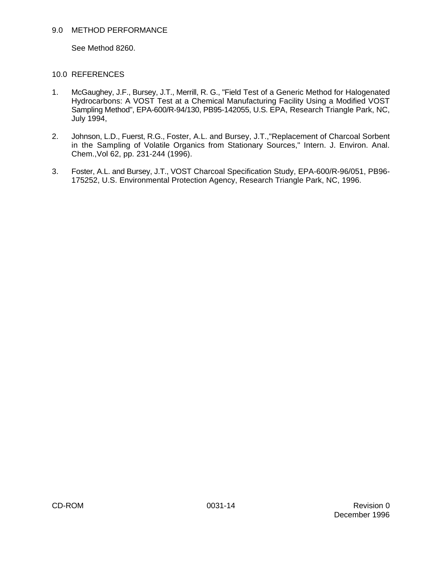#### 9.0 METHOD PERFORMANCE

See Method 8260.

## 10.0 REFERENCES

- 1. McGaughey, J.F., Bursey, J.T., Merrill, R. G., "Field Test of a Generic Method for Halogenated Hydrocarbons: A VOST Test at a Chemical Manufacturing Facility Using a Modified VOST Sampling Method", EPA-600/R-94/130, PB95-142055, U.S. EPA, Research Triangle Park, NC, July 1994,
- 2. Johnson, L.D., Fuerst, R.G., Foster, A.L. and Bursey, J.T.,"Replacement of Charcoal Sorbent in the Sampling of Volatile Organics from Stationary Sources," Intern. J. Environ. Anal. Chem.,Vol 62, pp. 231-244 (1996).
- 3. Foster, A.L. and Bursey, J.T., VOST Charcoal Specification Study, EPA-600/R-96/051, PB96- 175252, U.S. Environmental Protection Agency, Research Triangle Park, NC, 1996.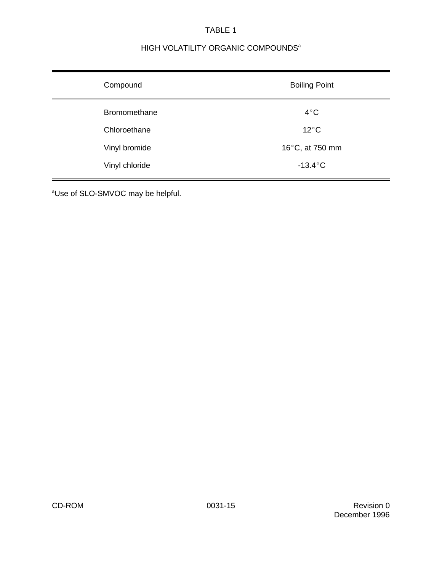# TABLE 1

# HIGH VOLATILITY ORGANIC COMPOUNDS<sup>a</sup>

| Compound            | <b>Boiling Point</b> |
|---------------------|----------------------|
| <b>Bromomethane</b> | $4^{\circ}$ C        |
| Chloroethane        | $12^{\circ}$ C       |
| Vinyl bromide       | 16°C, at 750 mm      |
| Vinyl chloride      | $-13.4^{\circ}$ C    |

<sup>a</sup>Use of SLO-SMVOC may be helpful.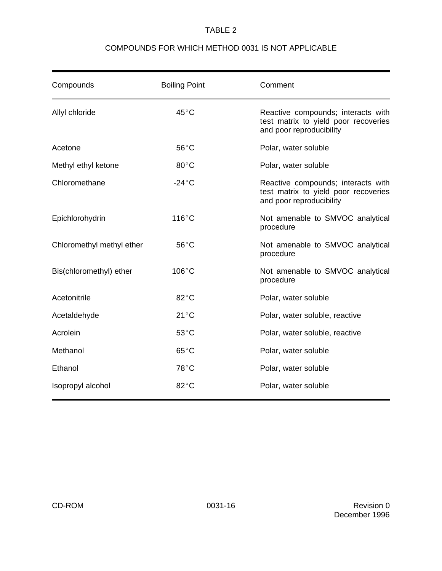## TABLE 2

## COMPOUNDS FOR WHICH METHOD 0031 IS NOT APPLICABLE

| Compounds                 | <b>Boiling Point</b> | Comment                                                                                                |
|---------------------------|----------------------|--------------------------------------------------------------------------------------------------------|
| Allyl chloride            | $45^{\circ}$ C       | Reactive compounds; interacts with<br>test matrix to yield poor recoveries<br>and poor reproducibility |
| Acetone                   | $56^{\circ}$ C       | Polar, water soluble                                                                                   |
| Methyl ethyl ketone       | $80^{\circ}$ C       | Polar, water soluble                                                                                   |
| Chloromethane             | $-24^{\circ}$ C      | Reactive compounds; interacts with<br>test matrix to yield poor recoveries<br>and poor reproducibility |
| Epichlorohydrin           | $116^{\circ}$ C      | Not amenable to SMVOC analytical<br>procedure                                                          |
| Chloromethyl methyl ether | $56^{\circ}$ C       | Not amenable to SMVOC analytical<br>procedure                                                          |
| Bis(chloromethyl) ether   | $106^{\circ}$ C      | Not amenable to SMVOC analytical<br>procedure                                                          |
| Acetonitrile              | $82^{\circ}$ C       | Polar, water soluble                                                                                   |
| Acetaldehyde              | $21^{\circ}$ C       | Polar, water soluble, reactive                                                                         |
| Acrolein                  | $53^{\circ}$ C       | Polar, water soluble, reactive                                                                         |
| Methanol                  | $65^{\circ}$ C       | Polar, water soluble                                                                                   |
| Ethanol                   | 78°C                 | Polar, water soluble                                                                                   |
| Isopropyl alcohol         | $82^{\circ}$ C       | Polar, water soluble                                                                                   |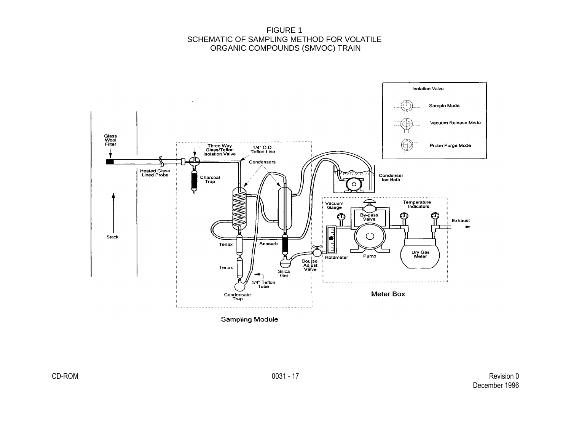FIGURE 1 SCHEMATIC OF SAMPLING METHOD FOR VOLATILE ORGANIC COMPOUNDS (SMVOC) TRAIN



**Sampling Module**